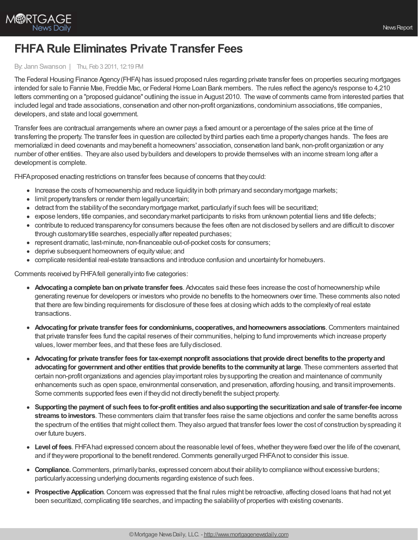

## **FHFA Rule Eliminates Private Transfer Fees**

## By: Jann Swanson | Thu, Feb 3 2011, 12:19 PM

The Federal Housing Finance Agency(FHFA) has issued proposed rules regarding private transfer fees on properties securing mortgages intended for sale to Fannie Mae, Freddie Mac, or Federal Home Loan Bank members. The rules reflect the agency's response to 4,210 letters commenting on a "proposed guidance" outlining the issue in August 2010. The wave of comments came from interested parties that included legal and trade associations, conservation and other non-profit organizations, condominium associations, title companies, developers, and state and local government.

Transfer fees are contractual arrangements where an owner pays a fixed amount or a percentage of the sales price at the time of transferring the property. The transfer fees in question are collected bythird parties each time a propertychanges hands. The fees are memorialized in deed covenants and maybenefit a homeowners' association, conservation land bank, non-profit organization or any number of other entities. Theyare also used bybuilders and developers to provide themselves with an income stream long after a development is complete.

FHFA proposed enacting restrictions on transfer fees because of concerns that they could:

- Increase the costs of homeownership and reduce liquidity in both primary and secondary mortgage markets;
- limit property transfers or render them legally uncertain;
- detract from the stabilityof the secondarymortgage market, particularlyif such fees will be securitized;
- expose lenders, title companies, and secondary market participants to risks from unknown potential liens and title defects;
- contribute to reduced transparencyfor consumers because the fees often are not disclosed bysellers and are difficult to discover through customarytitle searches, especiallyafter repeated purchases;
- represent dramatic, last-minute, non-financeable out-of-pocket costs for consumers;
- deprive subsequent homeowners of equityvalue; and
- complicate residential real-estate transactions and introduce confusion and uncertaintyfor homebuyers.

Comments received byFHFAfell generallyinto five categories:

- **Advocating a complete ban on private transfer fees**. Advocates said these fees increase the cost of homeownership while generating revenue for developers or investors who provide no benefits to the homeowners over time. These comments also noted that there are fewbinding requirements for disclosure of these fees at closing which adds to the complexityof real estate transactions.
- **Advocatingfor private transfer fees for condominiums, cooperatives, andhomeowners associations**.Commenters maintained that private transfer fees fund the capital reserves of their communities, helping to fund improvements which increase property values, lower member fees, and that these fees are fullydisclosed.
- **Advocatingfor private transfer fees for tax-exempt nonprofit associations that provide direct benefits tothe propertyand advocatingfor government andother entities that provide benefits tothe communityat large**. These commenters asserted that certain non-profit organizations and agencies playimportant roles bysupporting the creation and maintenance of community enhancements such as open space, environmental conservation, and preservation, affording housing, and transit improvements. Some comments supported fees even if they did not directly benefit the subject property.
- **Supportingthe payment of suchfees tofor-profit entities andalsosupportingthe securitizationandsale of transfer-fee income streams toinvestors**. These commenters claim that transfer fees raise the same objections and confer the same benefits across the spectrum of the entities that might collect them. Theyalso argued that transfer fees lower the cost of construction byspreading it over future buyers.
- **Level of fees**. FHFAhad expressed concern about the reasonable level of fees,whether theywere fixed over the life of the covenant, and if they were proportional to the benefit rendered. Comments generally urged FHFA not to consider this issue.
- **Compliance.**Commenters, primarilybanks, expressed concern about their abilityto compliance without excessive burdens; particularlyaccessing underlying documents regarding existence of such fees.
- **Prospective Application**. Concern was expressed that the final rules might be retroactive, affecting closed loans that had not yet been securitized, complicating title searches, and impacting the salabilityof properties with existing covenants.